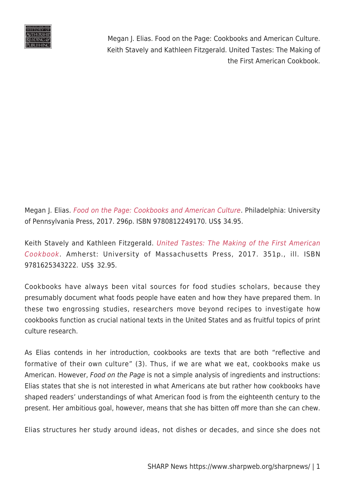

Megan J. Elias. [Food on the Page: Cookbooks and American Culture](http://www.upenn.edu/pennpress/book/15628.html). Philadelphia: University of Pennsylvania Press, 2017. 296p. ISBN 9780812249170. US\$ 34.95.

Keith Stavely and Kathleen Fitzgerald. [United Tastes: The Making of the First American](http://www.umass.edu/umpress/title/united-tastes) [Cookbook](http://www.umass.edu/umpress/title/united-tastes). Amherst: University of Massachusetts Press, 2017. 351p., ill. ISBN 9781625343222. US\$ 32.95.

Cookbooks have always been vital sources for food studies scholars, because they presumably document what foods people have eaten and how they have prepared them. In these two engrossing studies, researchers move beyond recipes to investigate how cookbooks function as crucial national texts in the United States and as fruitful topics of print culture research.

As Elias contends in her introduction, cookbooks are texts that are both "reflective and formative of their own culture" (3). Thus, if we are what we eat, cookbooks make us American. However, Food on the Page is not a simple analysis of ingredients and instructions: Elias states that she is not interested in what Americans ate but rather how cookbooks have shaped readers' understandings of what American food is from the eighteenth century to the present. Her ambitious goal, however, means that she has bitten off more than she can chew.

Elias structures her study around ideas, not dishes or decades, and since she does not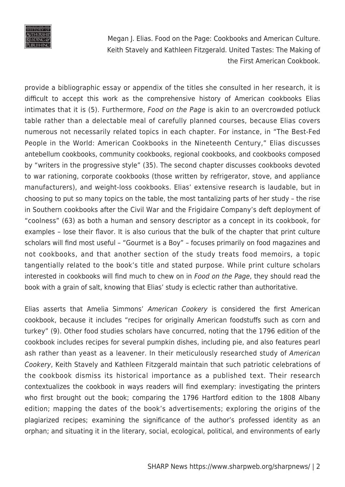

provide a bibliographic essay or appendix of the titles she consulted in her research, it is difficult to accept this work as the comprehensive history of American cookbooks Elias intimates that it is (5). Furthermore, Food on the Page is akin to an overcrowded potluck table rather than a delectable meal of carefully planned courses, because Elias covers numerous not necessarily related topics in each chapter. For instance, in "The Best-Fed People in the World: American Cookbooks in the Nineteenth Century," Elias discusses antebellum cookbooks, community cookbooks, regional cookbooks, and cookbooks composed by "writers in the progressive style" (35). The second chapter discusses cookbooks devoted to war rationing, corporate cookbooks (those written by refrigerator, stove, and appliance manufacturers), and weight-loss cookbooks. Elias' extensive research is laudable, but in choosing to put so many topics on the table, the most tantalizing parts of her study – the rise in Southern cookbooks after the Civil War and the Frigidaire Company's deft deployment of "coolness" (63) as both a human and sensory descriptor as a concept in its cookbook, for examples – lose their flavor. It is also curious that the bulk of the chapter that print culture scholars will find most useful – "Gourmet is a Boy" – focuses primarily on food magazines and not cookbooks, and that another section of the study treats food memoirs, a topic tangentially related to the book's title and stated purpose. While print culture scholars interested in cookbooks will find much to chew on in Food on the Page, they should read the book with a grain of salt, knowing that Elias' study is eclectic rather than authoritative.

Elias asserts that Amelia Simmons' American Cookery is considered the first American cookbook, because it includes "recipes for originally American foodstuffs such as corn and turkey" (9). Other food studies scholars have concurred, noting that the 1796 edition of the cookbook includes recipes for several pumpkin dishes, including pie, and also features pearl ash rather than yeast as a leavener. In their meticulously researched study of American Cookery, Keith Stavely and Kathleen Fitzgerald maintain that such patriotic celebrations of the cookbook dismiss its historical importance as a published text. Their research contextualizes the cookbook in ways readers will find exemplary: investigating the printers who first brought out the book; comparing the 1796 Hartford edition to the 1808 Albany edition; mapping the dates of the book's advertisements; exploring the origins of the plagiarized recipes; examining the significance of the author's professed identity as an orphan; and situating it in the literary, social, ecological, political, and environments of early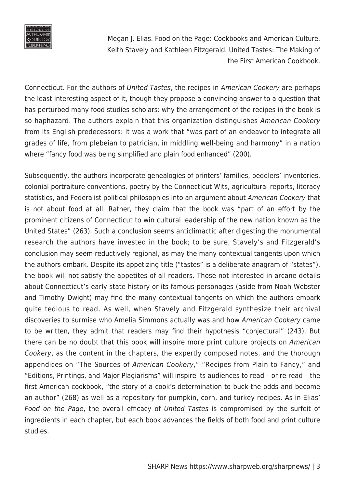

Connecticut. For the authors of United Tastes, the recipes in American Cookery are perhaps the least interesting aspect of it, though they propose a convincing answer to a question that has perturbed many food studies scholars: why the arrangement of the recipes in the book is so haphazard. The authors explain that this organization distinguishes American Cookery from its English predecessors: it was a work that "was part of an endeavor to integrate all grades of life, from plebeian to patrician, in middling well-being and harmony" in a nation where "fancy food was being simplified and plain food enhanced" (200).

Subsequently, the authors incorporate genealogies of printers' families, peddlers' inventories, colonial portraiture conventions, poetry by the Connecticut Wits, agricultural reports, literacy statistics, and Federalist political philosophies into an argument about American Cookery that is not about food at all. Rather, they claim that the book was "part of an effort by the prominent citizens of Connecticut to win cultural leadership of the new nation known as the United States" (263). Such a conclusion seems anticlimactic after digesting the monumental research the authors have invested in the book; to be sure, Stavely's and Fitzgerald's conclusion may seem reductively regional, as may the many contextual tangents upon which the authors embark. Despite its appetizing title ("tastes" is a deliberate anagram of "states"), the book will not satisfy the appetites of all readers. Those not interested in arcane details about Connecticut's early state history or its famous personages (aside from Noah Webster and Timothy Dwight) may find the many contextual tangents on which the authors embark quite tedious to read. As well, when Stavely and Fitzgerald synthesize their archival discoveries to surmise who Amelia Simmons actually was and how American Cookery came to be written, they admit that readers may find their hypothesis "conjectural" (243). But there can be no doubt that this book will inspire more print culture projects on American Cookery, as the content in the chapters, the expertly composed notes, and the thorough appendices on "The Sources of American Cookery," "Recipes from Plain to Fancy," and "Editions, Printings, and Major Plagiarisms" will inspire its audiences to read – or re-read – the first American cookbook, "the story of a cook's determination to buck the odds and become an author" (268) as well as a repository for pumpkin, corn, and turkey recipes. As in Elias' Food on the Page, the overall efficacy of United Tastes is compromised by the surfeit of ingredients in each chapter, but each book advances the fields of both food and print culture studies.